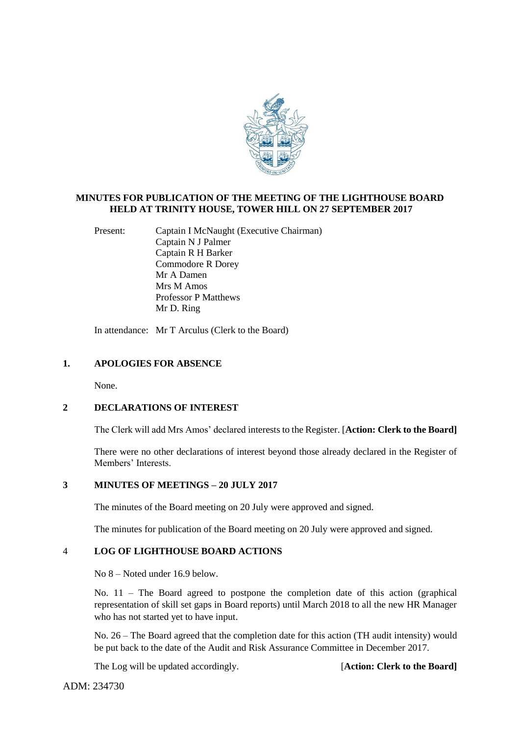

# **MINUTES FOR PUBLICATION OF THE MEETING OF THE LIGHTHOUSE BOARD HELD AT TRINITY HOUSE, TOWER HILL ON 27 SEPTEMBER 2017**

Present: Captain I McNaught (Executive Chairman) Captain N J Palmer Captain R H Barker Commodore R Dorey Mr A Damen Mrs M Amos Professor P Matthews Mr D. Ring

In attendance: Mr T Arculus (Clerk to the Board)

### **1. APOLOGIES FOR ABSENCE**

None.

# **2 DECLARATIONS OF INTEREST**

The Clerk will add Mrs Amos' declared interests to the Register. [**Action: Clerk to the Board]**

There were no other declarations of interest beyond those already declared in the Register of Members' Interests.

# **3 MINUTES OF MEETINGS – 20 JULY 2017**

The minutes of the Board meeting on 20 July were approved and signed.

The minutes for publication of the Board meeting on 20 July were approved and signed.

# 4 **LOG OF LIGHTHOUSE BOARD ACTIONS**

No 8 – Noted under 16.9 below.

No. 11 – The Board agreed to postpone the completion date of this action (graphical representation of skill set gaps in Board reports) until March 2018 to all the new HR Manager who has not started yet to have input.

No. 26 – The Board agreed that the completion date for this action (TH audit intensity) would be put back to the date of the Audit and Risk Assurance Committee in December 2017.

The Log will be updated accordingly. **[Action: Clerk to the Board]** 

ADM: 234730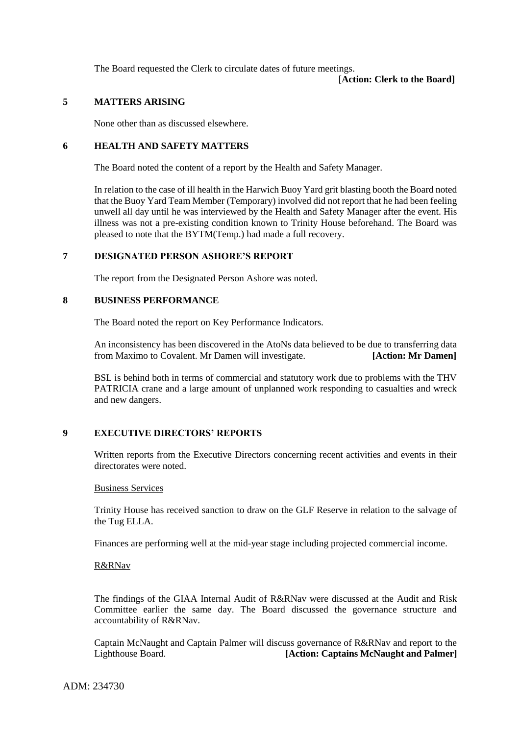The Board requested the Clerk to circulate dates of future meetings.

[**Action: Clerk to the Board]**

# **5 MATTERS ARISING**

None other than as discussed elsewhere.

# **6 HEALTH AND SAFETY MATTERS**

The Board noted the content of a report by the Health and Safety Manager.

In relation to the case of ill health in the Harwich Buoy Yard grit blasting booth the Board noted that the Buoy Yard Team Member (Temporary) involved did not report that he had been feeling unwell all day until he was interviewed by the Health and Safety Manager after the event. His illness was not a pre-existing condition known to Trinity House beforehand. The Board was pleased to note that the BYTM(Temp.) had made a full recovery.

# **7 DESIGNATED PERSON ASHORE'S REPORT**

The report from the Designated Person Ashore was noted.

### **8 BUSINESS PERFORMANCE**

The Board noted the report on Key Performance Indicators.

An inconsistency has been discovered in the AtoNs data believed to be due to transferring data from Maximo to Covalent. Mr Damen will investigate. **[Action: Mr Damen]**

BSL is behind both in terms of commercial and statutory work due to problems with the THV PATRICIA crane and a large amount of unplanned work responding to casualties and wreck and new dangers.

# **9 EXECUTIVE DIRECTORS' REPORTS**

Written reports from the Executive Directors concerning recent activities and events in their directorates were noted.

#### Business Services

Trinity House has received sanction to draw on the GLF Reserve in relation to the salvage of the Tug ELLA.

Finances are performing well at the mid-year stage including projected commercial income.

## R&RNav

The findings of the GIAA Internal Audit of R&RNav were discussed at the Audit and Risk Committee earlier the same day. The Board discussed the governance structure and accountability of R&RNav.

Captain McNaught and Captain Palmer will discuss governance of R&RNav and report to the Lighthouse Board. **[Action: Captains McNaught and Palmer]**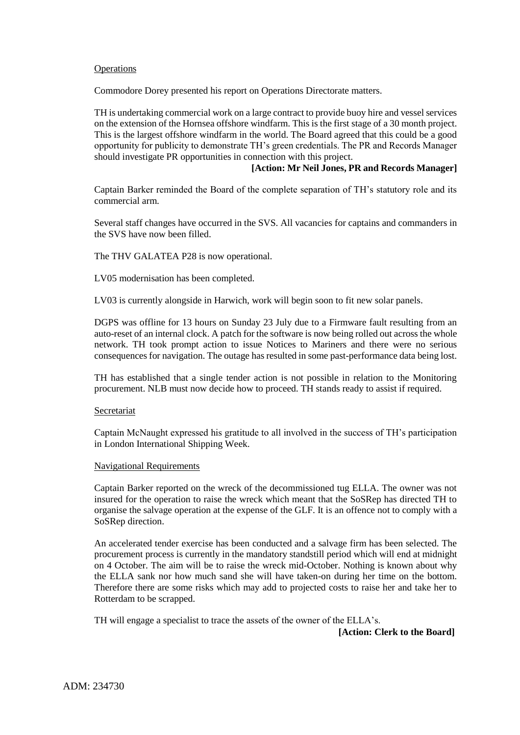### **Operations**

Commodore Dorey presented his report on Operations Directorate matters.

TH is undertaking commercial work on a large contract to provide buoy hire and vessel services on the extension of the Hornsea offshore windfarm. This is the first stage of a 30 month project. This is the largest offshore windfarm in the world. The Board agreed that this could be a good opportunity for publicity to demonstrate TH's green credentials. The PR and Records Manager should investigate PR opportunities in connection with this project.

# **[Action: Mr Neil Jones, PR and Records Manager]**

Captain Barker reminded the Board of the complete separation of TH's statutory role and its commercial arm.

Several staff changes have occurred in the SVS. All vacancies for captains and commanders in the SVS have now been filled.

The THV GALATEA P28 is now operational.

LV05 modernisation has been completed.

LV03 is currently alongside in Harwich, work will begin soon to fit new solar panels.

DGPS was offline for 13 hours on Sunday 23 July due to a Firmware fault resulting from an auto-reset of an internal clock. A patch for the software is now being rolled out across the whole network. TH took prompt action to issue Notices to Mariners and there were no serious consequences for navigation. The outage has resulted in some past-performance data being lost.

TH has established that a single tender action is not possible in relation to the Monitoring procurement. NLB must now decide how to proceed. TH stands ready to assist if required.

### Secretariat

Captain McNaught expressed his gratitude to all involved in the success of TH's participation in London International Shipping Week.

#### Navigational Requirements

Captain Barker reported on the wreck of the decommissioned tug ELLA. The owner was not insured for the operation to raise the wreck which meant that the SoSRep has directed TH to organise the salvage operation at the expense of the GLF. It is an offence not to comply with a SoSRep direction.

An accelerated tender exercise has been conducted and a salvage firm has been selected. The procurement process is currently in the mandatory standstill period which will end at midnight on 4 October. The aim will be to raise the wreck mid-October. Nothing is known about why the ELLA sank nor how much sand she will have taken-on during her time on the bottom. Therefore there are some risks which may add to projected costs to raise her and take her to Rotterdam to be scrapped.

TH will engage a specialist to trace the assets of the owner of the ELLA's.

**[Action: Clerk to the Board]**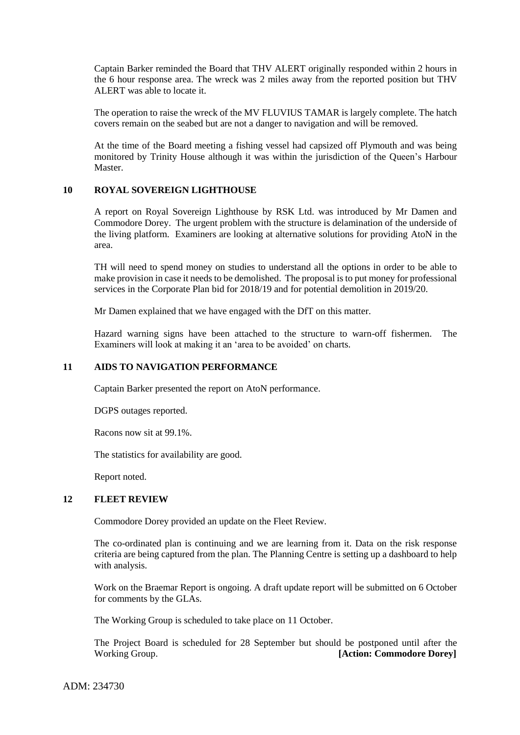Captain Barker reminded the Board that THV ALERT originally responded within 2 hours in the 6 hour response area. The wreck was 2 miles away from the reported position but THV ALERT was able to locate it.

The operation to raise the wreck of the MV FLUVIUS TAMAR is largely complete. The hatch covers remain on the seabed but are not a danger to navigation and will be removed.

At the time of the Board meeting a fishing vessel had capsized off Plymouth and was being monitored by Trinity House although it was within the jurisdiction of the Queen's Harbour Master.

## **10 ROYAL SOVEREIGN LIGHTHOUSE**

A report on Royal Sovereign Lighthouse by RSK Ltd. was introduced by Mr Damen and Commodore Dorey. The urgent problem with the structure is delamination of the underside of the living platform. Examiners are looking at alternative solutions for providing AtoN in the area.

TH will need to spend money on studies to understand all the options in order to be able to make provision in case it needs to be demolished. The proposal is to put money for professional services in the Corporate Plan bid for 2018/19 and for potential demolition in 2019/20.

Mr Damen explained that we have engaged with the DfT on this matter.

Hazard warning signs have been attached to the structure to warn-off fishermen. The Examiners will look at making it an 'area to be avoided' on charts.

## **11 AIDS TO NAVIGATION PERFORMANCE**

Captain Barker presented the report on AtoN performance.

DGPS outages reported.

Racons now sit at 99.1%.

The statistics for availability are good.

Report noted.

#### **12 FLEET REVIEW**

Commodore Dorey provided an update on the Fleet Review.

The co-ordinated plan is continuing and we are learning from it. Data on the risk response criteria are being captured from the plan. The Planning Centre is setting up a dashboard to help with analysis.

Work on the Braemar Report is ongoing. A draft update report will be submitted on 6 October for comments by the GLAs.

The Working Group is scheduled to take place on 11 October.

The Project Board is scheduled for 28 September but should be postponed until after the Working Group. **[Action: Commodore Dorey]**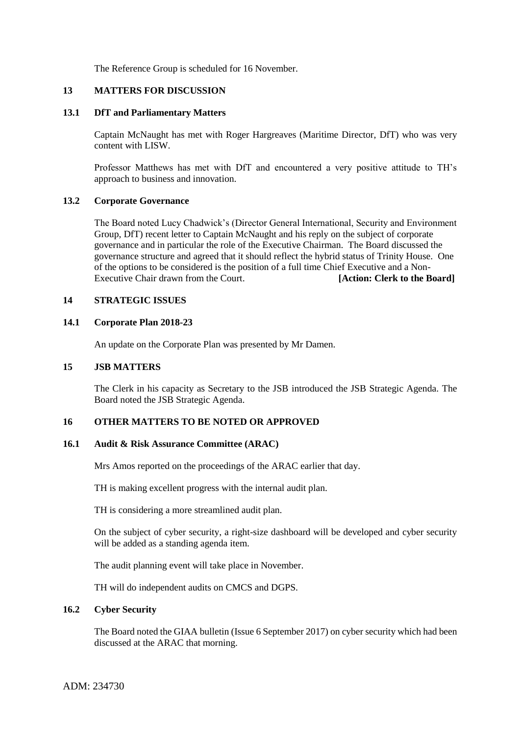The Reference Group is scheduled for 16 November.

### **13 MATTERS FOR DISCUSSION**

### **13.1 DfT and Parliamentary Matters**

Captain McNaught has met with Roger Hargreaves (Maritime Director, DfT) who was very content with LISW.

Professor Matthews has met with DfT and encountered a very positive attitude to TH's approach to business and innovation.

### **13.2 Corporate Governance**

The Board noted Lucy Chadwick's (Director General International, Security and Environment Group, DfT) recent letter to Captain McNaught and his reply on the subject of corporate governance and in particular the role of the Executive Chairman. The Board discussed the governance structure and agreed that it should reflect the hybrid status of Trinity House. One of the options to be considered is the position of a full time Chief Executive and a Non-Executive Chair drawn from the Court. **[Action: Clerk to the Board]** 

### **14 STRATEGIC ISSUES**

### **14.1 Corporate Plan 2018-23**

An update on the Corporate Plan was presented by Mr Damen.

### **15 JSB MATTERS**

The Clerk in his capacity as Secretary to the JSB introduced the JSB Strategic Agenda. The Board noted the JSB Strategic Agenda.

## **16 OTHER MATTERS TO BE NOTED OR APPROVED**

### **16.1 Audit & Risk Assurance Committee (ARAC)**

Mrs Amos reported on the proceedings of the ARAC earlier that day.

TH is making excellent progress with the internal audit plan.

TH is considering a more streamlined audit plan.

On the subject of cyber security, a right-size dashboard will be developed and cyber security will be added as a standing agenda item.

The audit planning event will take place in November.

TH will do independent audits on CMCS and DGPS.

# **16.2 Cyber Security**

The Board noted the GIAA bulletin (Issue 6 September 2017) on cyber security which had been discussed at the ARAC that morning.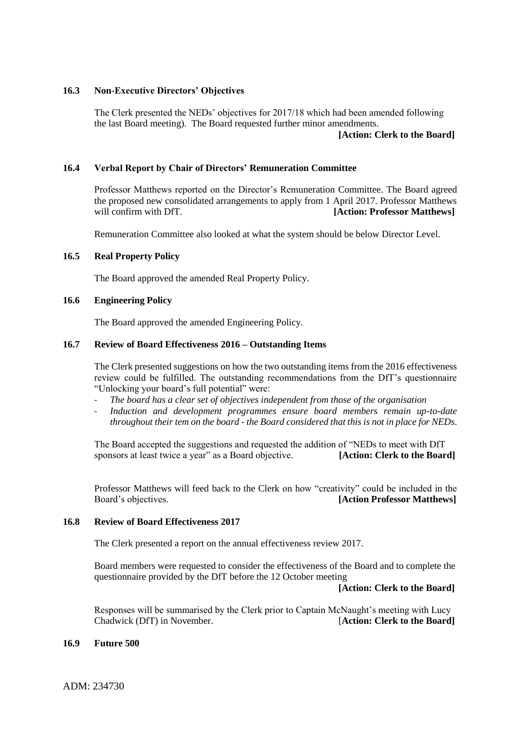# **16.3 Non-Executive Directors' Objectives**

The Clerk presented the NEDs' objectives for 2017/18 which had been amended following the last Board meeting). The Board requested further minor amendments.

### **[Action: Clerk to the Board]**

# **16.4 Verbal Report by Chair of Directors' Remuneration Committee**

Professor Matthews reported on the Director's Remuneration Committee. The Board agreed the proposed new consolidated arrangements to apply from 1 April 2017. Professor Matthews will confirm with DfT. *[Action: Professor Matthews]* 

Remuneration Committee also looked at what the system should be below Director Level.

# **16.5 Real Property Policy**

The Board approved the amended Real Property Policy.

## **16.6 Engineering Policy**

The Board approved the amended Engineering Policy.

## **16.7 Review of Board Effectiveness 2016 – Outstanding Items**

The Clerk presented suggestions on how the two outstanding items from the 2016 effectiveness review could be fulfilled. The outstanding recommendations from the DfT's questionnaire "Unlocking your board's full potential" were:

- The board has a clear set of objectives independent from those of the organisation
- *Induction and development programmes ensure board members remain up-to-date throughout their tem on the board - the Board considered that this is not in place for NEDs*.

The Board accepted the suggestions and requested the addition of "NEDs to meet with DfT sponsors at least twice a year" as a Board objective. **[Action: Clerk to the Board]**

Professor Matthews will feed back to the Clerk on how "creativity" could be included in the Board's objectives. **[Action Professor Matthews]**

## **16.8 Review of Board Effectiveness 2017**

The Clerk presented a report on the annual effectiveness review 2017.

Board members were requested to consider the effectiveness of the Board and to complete the questionnaire provided by the DfT before the 12 October meeting

## **[Action: Clerk to the Board]**

Responses will be summarised by the Clerk prior to Captain McNaught's meeting with Lucy Chadwick (DfT) in November. [**Action: Clerk to the Board]**

## **16.9 Future 500**